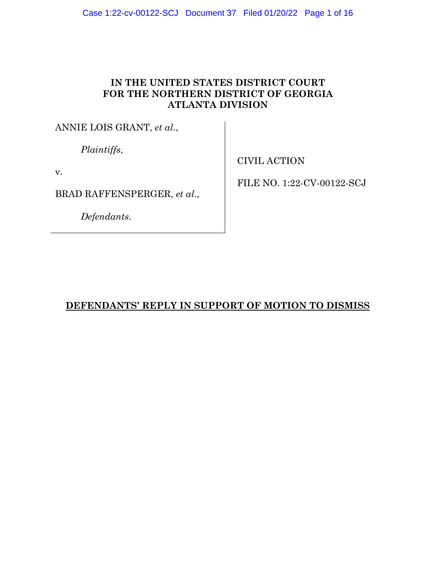# **IN THE UNITED STATES DISTRICT COURT FOR THE NORTHERN DISTRICT OF GEORGIA ATLANTA DIVISION**

ANNIE LOIS GRANT, *et al*.,

*Plaintiffs*,

v.

BRAD RAFFENSPERGER, *et al*.,

*Defendants*.

CIVIL ACTION

FILE NO. 1:22-CV-00122-SCJ

# **DEFENDANTS' REPLY IN SUPPORT OF MOTION TO DISMISS**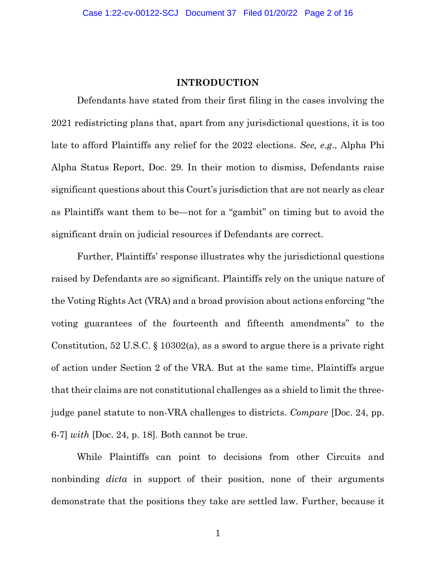#### **INTRODUCTION**

Defendants have stated from their first filing in the cases involving the 2021 redistricting plans that, apart from any jurisdictional questions, it is too late to afford Plaintiffs any relief for the 2022 elections. *See, e.g*., Alpha Phi Alpha Status Report, Doc. 29. In their motion to dismiss, Defendants raise significant questions about this Court's jurisdiction that are not nearly as clear as Plaintiffs want them to be—not for a "gambit" on timing but to avoid the significant drain on judicial resources if Defendants are correct.

Further, Plaintiffs' response illustrates why the jurisdictional questions raised by Defendants are so significant. Plaintiffs rely on the unique nature of the Voting Rights Act (VRA) and a broad provision about actions enforcing "the voting guarantees of the fourteenth and fifteenth amendments" to the Constitution, 52 U.S.C. § 10302(a), as a sword to argue there is a private right of action under Section 2 of the VRA. But at the same time, Plaintiffs argue that their claims are not constitutional challenges as a shield to limit the threejudge panel statute to non-VRA challenges to districts. *Compare* [Doc. 24, pp. 6-7] *with* [Doc. 24, p. 18]. Both cannot be true.

While Plaintiffs can point to decisions from other Circuits and nonbinding *dicta* in support of their position, none of their arguments demonstrate that the positions they take are settled law. Further, because it

1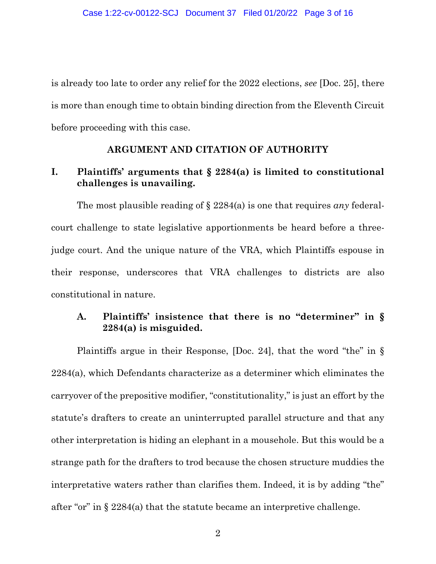is already too late to order any relief for the 2022 elections, *see* [Doc. 25], there is more than enough time to obtain binding direction from the Eleventh Circuit before proceeding with this case.

#### **ARGUMENT AND CITATION OF AUTHORITY**

## **I. Plaintiffs' arguments that § 2284(a) is limited to constitutional challenges is unavailing.**

The most plausible reading of § 2284(a) is one that requires *any* federalcourt challenge to state legislative apportionments be heard before a threejudge court. And the unique nature of the VRA, which Plaintiffs espouse in their response, underscores that VRA challenges to districts are also constitutional in nature.

## **A. Plaintiffs' insistence that there is no "determiner" in § 2284(a) is misguided.**

Plaintiffs argue in their Response, [Doc. 24], that the word "the" in § 2284(a), which Defendants characterize as a determiner which eliminates the carryover of the prepositive modifier, "constitutionality," is just an effort by the statute's drafters to create an uninterrupted parallel structure and that any other interpretation is hiding an elephant in a mousehole. But this would be a strange path for the drafters to trod because the chosen structure muddies the interpretative waters rather than clarifies them. Indeed, it is by adding "the" after "or" in § 2284(a) that the statute became an interpretive challenge.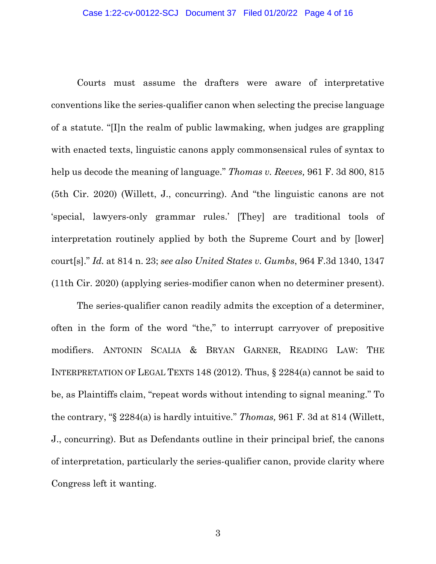Courts must assume the drafters were aware of interpretative conventions like the series-qualifier canon when selecting the precise language of a statute. "[I]n the realm of public lawmaking, when judges are grappling with enacted texts, linguistic canons apply commonsensical rules of syntax to help us decode the meaning of language." *Thomas v. Reeves,* 961 F. 3d 800, 815 (5th Cir. 2020) (Willett, J., concurring). And "the linguistic canons are not 'special, lawyers-only grammar rules.' [They] are traditional tools of interpretation routinely applied by both the Supreme Court and by [lower] court[s]." *Id.* at 814 n. 23; *see also United States v. Gumbs*, 964 F.3d 1340, 1347 (11th Cir. 2020) (applying series-modifier canon when no determiner present).

The series-qualifier canon readily admits the exception of a determiner, often in the form of the word "the," to interrupt carryover of prepositive modifiers. ANTONIN SCALIA & BRYAN GARNER, READING LAW: THE INTERPRETATION OF LEGAL TEXTS 148 (2012). Thus, § 2284(a) cannot be said to be, as Plaintiffs claim, "repeat words without intending to signal meaning." To the contrary, "§ 2284(a) is hardly intuitive." *Thomas,* 961 F. 3d at 814 (Willett, J., concurring). But as Defendants outline in their principal brief, the canons of interpretation, particularly the series-qualifier canon, provide clarity where Congress left it wanting.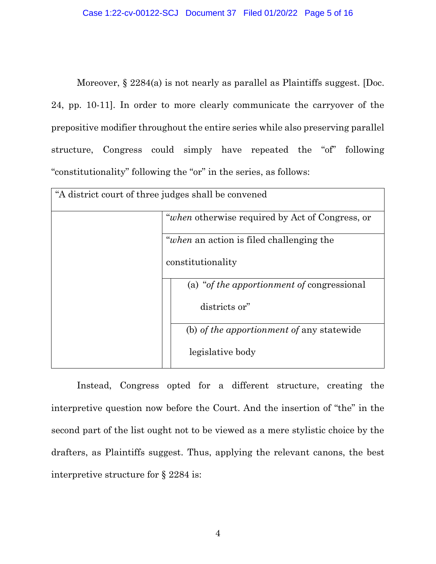Moreover,  $\S 2284(a)$  is not nearly as parallel as Plaintiffs suggest. [Doc. 24, pp. 10-11]. In order to more clearly communicate the carryover of the prepositive modifier throughout the entire series while also preserving parallel structure, Congress could simply have repeated the "of" following "constitutionality" following the "or" in the series, as follows:

| "A district court of three judges shall be convened |                                                 |
|-----------------------------------------------------|-------------------------------------------------|
|                                                     | "when otherwise required by Act of Congress, or |
|                                                     | <i>"when</i> an action is filed challenging the |
|                                                     | constitutionality                               |
|                                                     | (a) "of the apportionment of congressional      |
|                                                     | districts or"                                   |
|                                                     | (b) of the apportionment of any statewide       |
|                                                     | legislative body                                |

Instead, Congress opted for a different structure, creating the interpretive question now before the Court. And the insertion of "the" in the second part of the list ought not to be viewed as a mere stylistic choice by the drafters, as Plaintiffs suggest. Thus, applying the relevant canons, the best interpretive structure for § 2284 is: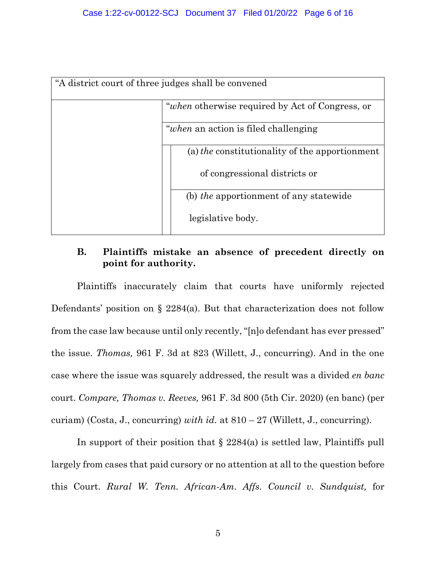| "A district court of three judges shall be convened |                                                        |  |
|-----------------------------------------------------|--------------------------------------------------------|--|
|                                                     | <i>"when</i> otherwise required by Act of Congress, or |  |
|                                                     | <i>"when</i> an action is filed challenging"           |  |
|                                                     | (a) the constitutionality of the apportionment         |  |
|                                                     | of congressional districts or                          |  |
|                                                     | (b) the apportionment of any statewide                 |  |
|                                                     | legislative body.                                      |  |

# **B. Plaintiffs mistake an absence of precedent directly on point for authority.**

Plaintiffs inaccurately claim that courts have uniformly rejected Defendants' position on § 2284(a). But that characterization does not follow from the case law because until only recently, "[n]o defendant has ever pressed" the issue. *Thomas,* 961 F. 3d at 823 (Willett, J., concurring). And in the one case where the issue was squarely addressed, the result was a divided *en banc* court. *Compare, Thomas v. Reeves,* 961 F. 3d 800 (5th Cir. 2020) (en banc) (per curiam) (Costa, J., concurring) *with id.* at 810 – 27 (Willett, J., concurring).

In support of their position that  $\S 2284(a)$  is settled law, Plaintiffs pull largely from cases that paid cursory or no attention at all to the question before this Court. *Rural W. Tenn. African-Am. Affs. Council v. Sundquist,* for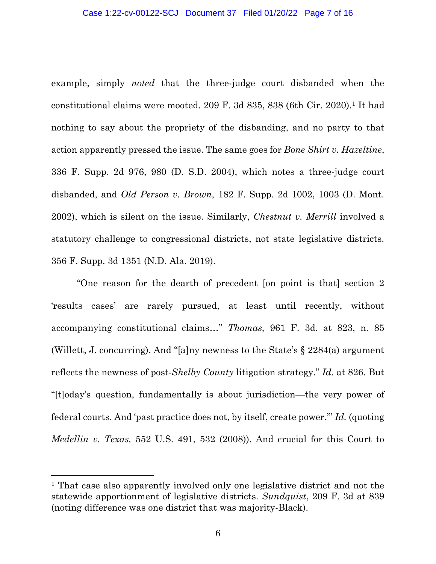example, simply *noted* that the three-judge court disbanded when the constitutional claims were mooted. 209 F. 3d 835, 838 (6th Cir. 2020).<sup>1</sup> It had nothing to say about the propriety of the disbanding, and no party to that action apparently pressed the issue. The same goes for *Bone Shirt v. Hazeltine*, 336 F. Supp. 2d 976, 980 (D. S.D. 2004), which notes a three-judge court disbanded, and *Old Person v. Brown*, 182 F. Supp. 2d 1002, 1003 (D. Mont. 2002), which is silent on the issue. Similarly, *Chestnut v. Merrill* involved a statutory challenge to congressional districts, not state legislative districts. 356 F. Supp. 3d 1351 (N.D. Ala. 2019).

"One reason for the dearth of precedent [on point is that] section 2 'results cases' are rarely pursued, at least until recently, without accompanying constitutional claims…" *Thomas,* 961 F. 3d. at 823, n. 85 (Willett, J. concurring). And "[a]ny newness to the State's § 2284(a) argument reflects the newness of post-*Shelby County* litigation strategy." *Id.* at 826. But "[t]oday's question, fundamentally is about jurisdiction—the very power of federal courts. And 'past practice does not, by itself, create power.'" *Id.* (quoting *Medellin v. Texas,* 552 U.S. 491, 532 (2008)). And crucial for this Court to

<sup>1</sup> That case also apparently involved only one legislative district and not the statewide apportionment of legislative districts. *Sundquist*, 209 F. 3d at 839 (noting difference was one district that was majority-Black).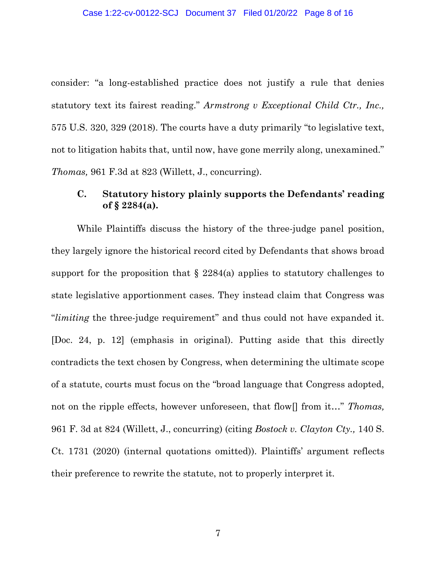consider: "a long-established practice does not justify a rule that denies statutory text its fairest reading." *Armstrong v Exceptional Child Ctr., Inc.,* 575 U.S. 320, 329 (2018). The courts have a duty primarily "to legislative text, not to litigation habits that, until now, have gone merrily along, unexamined." *Thomas,* 961 F.3d at 823 (Willett, J., concurring).

## **C. Statutory history plainly supports the Defendants' reading of § 2284(a).**

While Plaintiffs discuss the history of the three-judge panel position, they largely ignore the historical record cited by Defendants that shows broad support for the proposition that  $\S$  2284(a) applies to statutory challenges to state legislative apportionment cases. They instead claim that Congress was "*limiting* the three-judge requirement" and thus could not have expanded it. [Doc. 24, p. 12] (emphasis in original). Putting aside that this directly contradicts the text chosen by Congress, when determining the ultimate scope of a statute, courts must focus on the "broad language that Congress adopted, not on the ripple effects, however unforeseen, that flow[] from it…" *Thomas,*  961 F. 3d at 824 (Willett, J., concurring) (citing *Bostock v. Clayton Cty.,* 140 S. Ct. 1731 (2020) (internal quotations omitted)). Plaintiffs' argument reflects their preference to rewrite the statute, not to properly interpret it.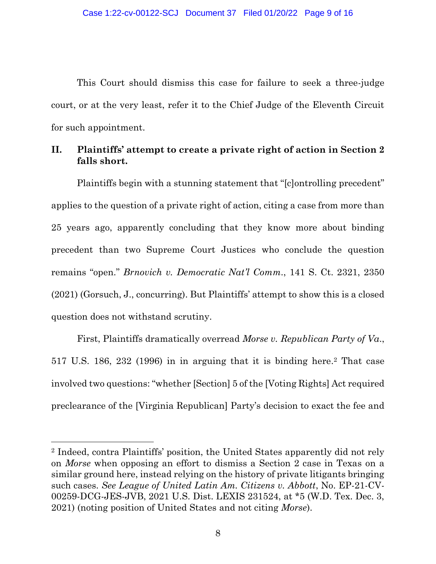This Court should dismiss this case for failure to seek a three-judge court, or at the very least, refer it to the Chief Judge of the Eleventh Circuit for such appointment.

# **II. Plaintiffs' attempt to create a private right of action in Section 2 falls short.**

Plaintiffs begin with a stunning statement that "[c]ontrolling precedent" applies to the question of a private right of action, citing a case from more than 25 years ago, apparently concluding that they know more about binding precedent than two Supreme Court Justices who conclude the question remains "open." *Brnovich v. Democratic Nat'l Comm*., 141 S. Ct. 2321, 2350 (2021) (Gorsuch, J., concurring). But Plaintiffs' attempt to show this is a closed question does not withstand scrutiny.

First, Plaintiffs dramatically overread *Morse v. Republican Party of Va*., 517 U.S. 186, 232 (1996) in in arguing that it is binding here. <sup>2</sup> That case involved two questions: "whether [Section] 5 of the [Voting Rights] Act required preclearance of the [Virginia Republican] Party's decision to exact the fee and

<sup>2</sup> Indeed, contra Plaintiffs' position, the United States apparently did not rely on *Morse* when opposing an effort to dismiss a Section 2 case in Texas on a similar ground here, instead relying on the history of private litigants bringing such cases. *See League of United Latin Am. Citizens v. Abbott*, No. EP-21-CV-00259-DCG-JES-JVB, 2021 U.S. Dist. LEXIS 231524, at \*5 (W.D. Tex. Dec. 3, 2021) (noting position of United States and not citing *Morse*).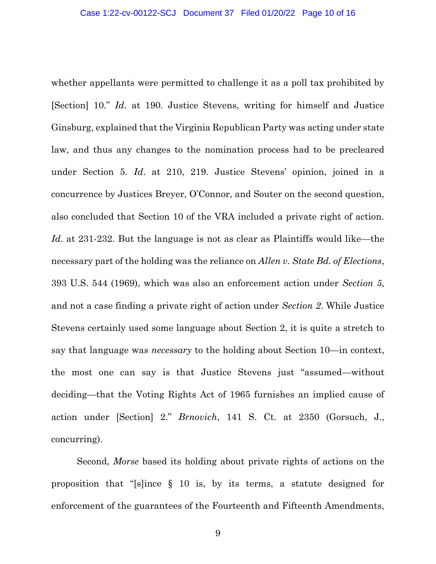whether appellants were permitted to challenge it as a poll tax prohibited by [Section] 10." *Id*. at 190. Justice Stevens, writing for himself and Justice Ginsburg, explained that the Virginia Republican Party was acting under state law, and thus any changes to the nomination process had to be precleared under Section 5. *Id*. at 210, 219. Justice Stevens' opinion, joined in a concurrence by Justices Breyer, O'Connor, and Souter on the second question, also concluded that Section 10 of the VRA included a private right of action. *Id.* at 231-232. But the language is not as clear as Plaintiffs would like—the necessary part of the holding was the reliance on *Allen v. State Bd. of Elections*, 393 U.S. 544 (1969), which was also an enforcement action under *Section 5*, and not a case finding a private right of action under *Section 2*. While Justice Stevens certainly used some language about Section 2, it is quite a stretch to say that language was *necessary* to the holding about Section 10—in context, the most one can say is that Justice Stevens just "assumed—without deciding—that the Voting Rights Act of 1965 furnishes an implied cause of action under [Section] 2." *Brnovich*, 141 S. Ct. at 2350 (Gorsuch, J., concurring).

Second, *Morse* based its holding about private rights of actions on the proposition that "[s]ince § 10 is, by its terms, a statute designed for enforcement of the guarantees of the Fourteenth and Fifteenth Amendments,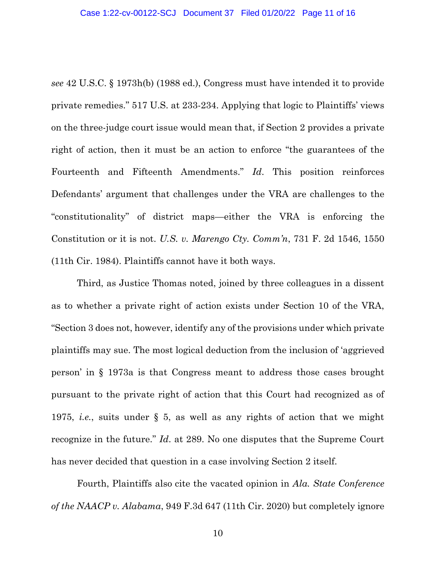*see* 42 U.S.C. § 1973h(b) (1988 ed.), Congress must have intended it to provide private remedies." 517 U.S. at 233-234. Applying that logic to Plaintiffs' views on the three-judge court issue would mean that, if Section 2 provides a private right of action, then it must be an action to enforce "the guarantees of the Fourteenth and Fifteenth Amendments." *Id*. This position reinforces Defendants' argument that challenges under the VRA are challenges to the "constitutionality" of district maps—either the VRA is enforcing the Constitution or it is not. *U.S. v. Marengo Cty. Comm'n*, 731 F. 2d 1546, 1550 (11th Cir. 1984). Plaintiffs cannot have it both ways.

Third, as Justice Thomas noted, joined by three colleagues in a dissent as to whether a private right of action exists under Section 10 of the VRA, "Section 3 does not, however, identify any of the provisions under which private plaintiffs may sue. The most logical deduction from the inclusion of 'aggrieved person' in § 1973a is that Congress meant to address those cases brought pursuant to the private right of action that this Court had recognized as of 1975, *i.e.*, suits under § 5, as well as any rights of action that we might recognize in the future." *Id*. at 289. No one disputes that the Supreme Court has never decided that question in a case involving Section 2 itself.

Fourth, Plaintiffs also cite the vacated opinion in *Ala. State Conference of the NAACP v. Alabama*, 949 F.3d 647 (11th Cir. 2020) but completely ignore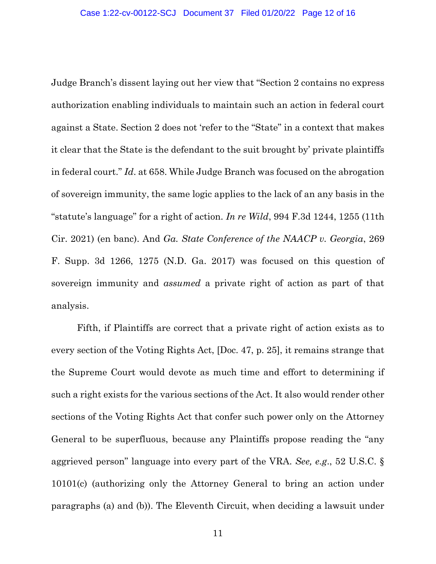Judge Branch's dissent laying out her view that "Section 2 contains no express authorization enabling individuals to maintain such an action in federal court against a State. Section 2 does not 'refer to the "State" in a context that makes it clear that the State is the defendant to the suit brought by' private plaintiffs in federal court." *Id*. at 658. While Judge Branch was focused on the abrogation of sovereign immunity, the same logic applies to the lack of an any basis in the "statute's language" for a right of action. *In re Wild*, 994 F.3d 1244, 1255 (11th Cir. 2021) (en banc). And *Ga. State Conference of the NAACP v. Georgia*, 269 F. Supp. 3d 1266, 1275 (N.D. Ga. 2017) was focused on this question of sovereign immunity and *assumed* a private right of action as part of that analysis.

Fifth, if Plaintiffs are correct that a private right of action exists as to every section of the Voting Rights Act, [Doc. 47, p. 25], it remains strange that the Supreme Court would devote as much time and effort to determining if such a right exists for the various sections of the Act. It also would render other sections of the Voting Rights Act that confer such power only on the Attorney General to be superfluous, because any Plaintiffs propose reading the "any aggrieved person" language into every part of the VRA. *See, e.g*., 52 U.S.C. § 10101(c) (authorizing only the Attorney General to bring an action under paragraphs (a) and (b)). The Eleventh Circuit, when deciding a lawsuit under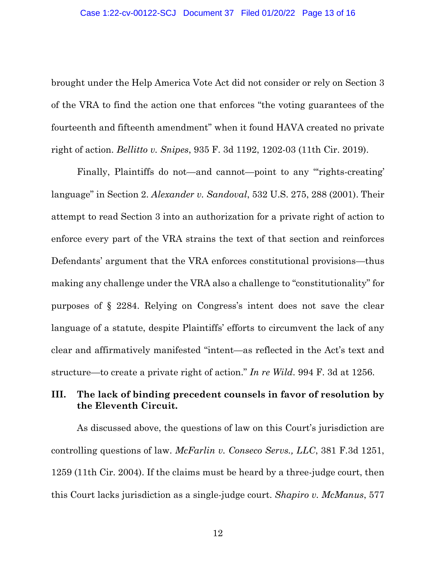brought under the Help America Vote Act did not consider or rely on Section 3 of the VRA to find the action one that enforces "the voting guarantees of the fourteenth and fifteenth amendment" when it found HAVA created no private right of action. *Bellitto v. Snipes*, 935 F. 3d 1192, 1202-03 (11th Cir. 2019).

Finally, Plaintiffs do not—and cannot—point to any "rights-creating' language" in Section 2. *Alexander v. Sandoval*, 532 U.S. 275, 288 (2001). Their attempt to read Section 3 into an authorization for a private right of action to enforce every part of the VRA strains the text of that section and reinforces Defendants' argument that the VRA enforces constitutional provisions—thus making any challenge under the VRA also a challenge to "constitutionality" for purposes of § 2284. Relying on Congress's intent does not save the clear language of a statute, despite Plaintiffs' efforts to circumvent the lack of any clear and affirmatively manifested "intent—as reflected in the Act's text and structure—to create a private right of action." *In re Wild*. 994 F. 3d at 1256.

### **III. The lack of binding precedent counsels in favor of resolution by the Eleventh Circuit.**

As discussed above, the questions of law on this Court's jurisdiction are controlling questions of law. *McFarlin v. Conseco Servs., LLC*, 381 F.3d 1251, 1259 (11th Cir. 2004). If the claims must be heard by a three-judge court, then this Court lacks jurisdiction as a single-judge court. *Shapiro v. McManus*, 577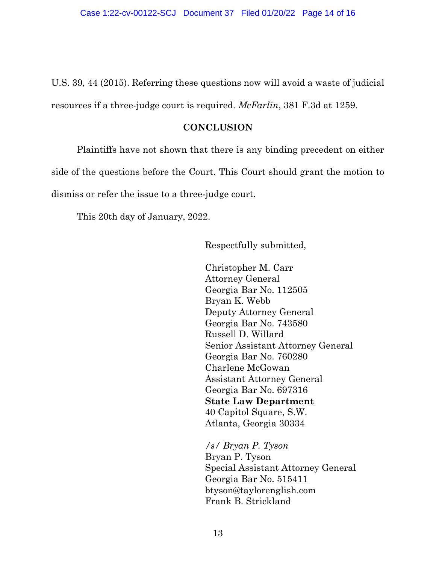U.S. 39, 44 (2015). Referring these questions now will avoid a waste of judicial resources if a three-judge court is required. *McFarlin*, 381 F.3d at 1259.

#### **CONCLUSION**

Plaintiffs have not shown that there is any binding precedent on either side of the questions before the Court. This Court should grant the motion to dismiss or refer the issue to a three-judge court.

This 20th day of January, 2022.

Respectfully submitted,

Christopher M. Carr Attorney General Georgia Bar No. 112505 Bryan K. Webb Deputy Attorney General Georgia Bar No. 743580 Russell D. Willard Senior Assistant Attorney General Georgia Bar No. 760280 Charlene McGowan Assistant Attorney General Georgia Bar No. 697316 **State Law Department** 40 Capitol Square, S.W. Atlanta, Georgia 30334

*/s/ Bryan P. Tyson*

Bryan P. Tyson Special Assistant Attorney General Georgia Bar No. 515411 btyson@taylorenglish.com Frank B. Strickland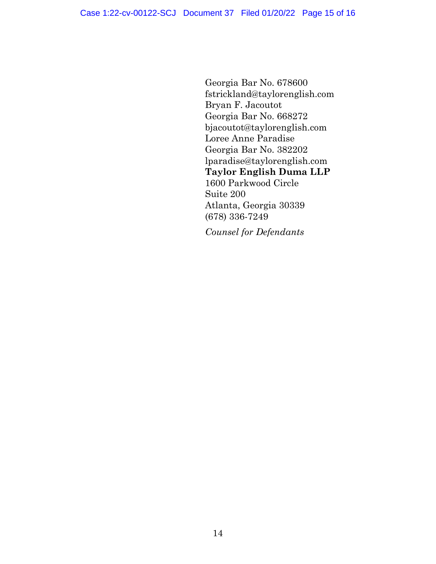Georgia Bar No. 678600 fstrickland@taylorenglish.com Bryan F. Jacoutot Georgia Bar No. 668272 bjacoutot@taylorenglish.com Loree Anne Paradise Georgia Bar No. 382202 lparadise@taylorenglish.com **Taylor English Duma LLP** 1600 Parkwood Circle Suite 200 Atlanta, Georgia 30339 (678) 336-7249

*Counsel for Defendants*